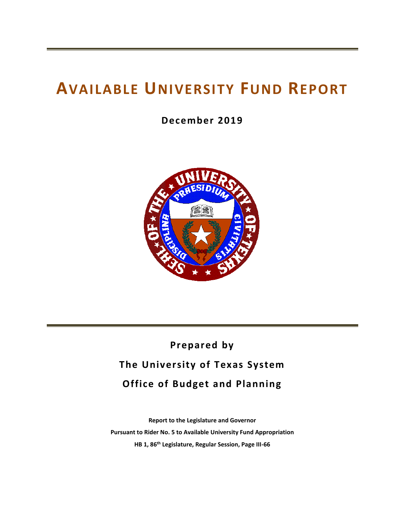# **AVAILABLE UNIVERSITY FUND REPORT**

**December 2019**



# **Prepared by The University of Texas System Office of Budget and Planning**

**Report to the Legislature and Governor Pursuant to Rider No. 5 to Available University Fund Appropriation HB 1, 86 th Legislature, Regular Session, Page III-66**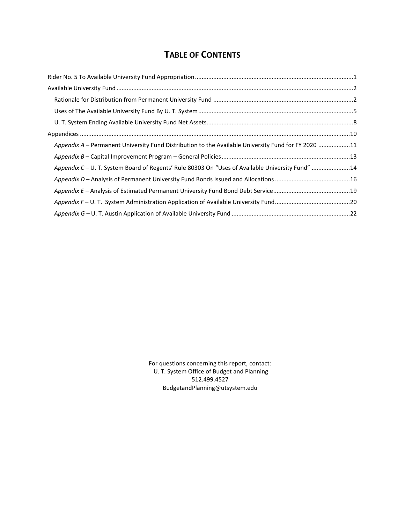## **TABLE OF CONTENTS**

| Appendix A – Permanent University Fund Distribution to the Available University Fund for FY 2020 11 |  |
|-----------------------------------------------------------------------------------------------------|--|
|                                                                                                     |  |
| Appendix C - U. T. System Board of Regents' Rule 80303 On "Uses of Available University Fund" 14    |  |
|                                                                                                     |  |
|                                                                                                     |  |
|                                                                                                     |  |
|                                                                                                     |  |

For questions concerning this report, contact: U. T. System Office of Budget and Planning 512.499.4527 BudgetandPlanning@utsystem.edu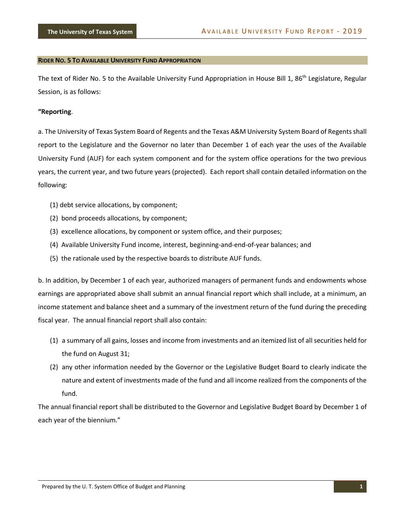#### <span id="page-3-0"></span>**RIDER NO. 5 TO AVAILABLE UNIVERSITY FUND APPROPRIATION**

The text of Rider No. 5 to the Available University Fund Appropriation in House Bill 1, 86<sup>th</sup> Legislature, Regular Session, is as follows:

#### **"Reporting**.

a. The University of Texas System Board of Regents and the Texas A&M University System Board of Regents shall report to the Legislature and the Governor no later than December 1 of each year the uses of the Available University Fund (AUF) for each system component and for the system office operations for the two previous years, the current year, and two future years (projected). Each report shall contain detailed information on the following:

- (1) debt service allocations, by component;
- (2) bond proceeds allocations, by component;
- (3) excellence allocations, by component or system office, and their purposes;
- (4) Available University Fund income, interest, beginning-and-end-of-year balances; and
- (5) the rationale used by the respective boards to distribute AUF funds.

b. In addition, by December 1 of each year, authorized managers of permanent funds and endowments whose earnings are appropriated above shall submit an annual financial report which shall include, at a minimum, an income statement and balance sheet and a summary of the investment return of the fund during the preceding fiscal year. The annual financial report shall also contain:

- (1) a summary of all gains, losses and income from investments and an itemized list of all securities held for the fund on August 31;
- (2) any other information needed by the Governor or the Legislative Budget Board to clearly indicate the nature and extent of investments made of the fund and all income realized from the components of the fund.

The annual financial report shall be distributed to the Governor and Legislative Budget Board by December 1 of each year of the biennium."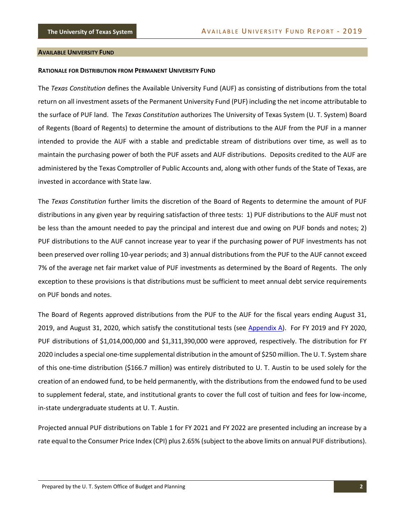#### <span id="page-4-0"></span>**AVAILABLE UNIVERSITY FUND**

#### <span id="page-4-1"></span>**RATIONALE FOR DISTRIBUTION FROM PERMANENT UNIVERSITY FUND**

The *Texas Constitution* defines the Available University Fund (AUF) as consisting of distributions from the total return on all investment assets of the Permanent University Fund (PUF) including the net income attributable to the surface of PUF land. The *Texas Constitution* authorizes The University of Texas System (U. T. System) Board of Regents (Board of Regents) to determine the amount of distributions to the AUF from the PUF in a manner intended to provide the AUF with a stable and predictable stream of distributions over time, as well as to maintain the purchasing power of both the PUF assets and AUF distributions. Deposits credited to the AUF are administered by the Texas Comptroller of Public Accounts and, along with other funds of the State of Texas, are invested in accordance with State law.

The *Texas Constitution* further limits the discretion of the Board of Regents to determine the amount of PUF distributions in any given year by requiring satisfaction of three tests: 1) PUF distributions to the AUF must not be less than the amount needed to pay the principal and interest due and owing on PUF bonds and notes; 2) PUF distributions to the AUF cannot increase year to year if the purchasing power of PUF investments has not been preserved over rolling 10-year periods; and 3) annual distributions from the PUF to the AUF cannot exceed 7% of the average net fair market value of PUF investments as determined by the Board of Regents. The only exception to these provisions is that distributions must be sufficient to meet annual debt service requirements on PUF bonds and notes.

The Board of Regents approved distributions from the PUF to the AUF for the fiscal years ending August 31, 2019, and August 31, 2020, which satisfy the constitutional tests (see Appendix A). For FY 2019 and FY 2020, PUF distributions of \$1,014,000,000 and \$1,311,390,000 were approved, respectively. The distribution for FY 2020 includes a special one-time supplemental distribution in the amount of \$250 million. The U. T. System share of this one-time distribution (\$166.7 million) was entirely distributed to U. T. Austin to be used solely for the creation of an endowed fund, to be held permanently, with the distributions from the endowed fund to be used to supplement federal, state, and institutional grants to cover the full cost of tuition and fees for low-income, in-state undergraduate students at U. T. Austin.

Projected annual PUF distributions on Table 1 for FY 2021 and FY 2022 are presented including an increase by a rate equal to the Consumer Price Index (CPI) plus 2.65% (subject to the above limits on annual PUF distributions).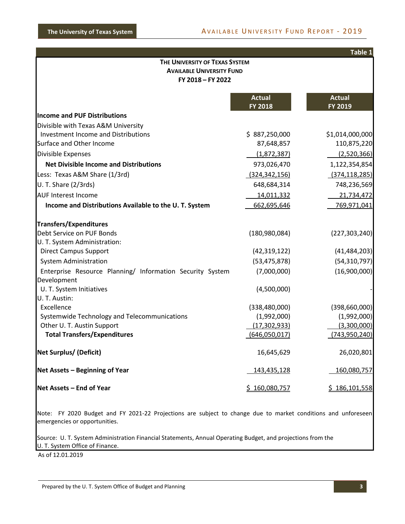|                                                                                         |                    | Table 1         |  |  |  |  |
|-----------------------------------------------------------------------------------------|--------------------|-----------------|--|--|--|--|
| THE UNIVERSITY OF TEXAS SYSTEM<br><b>AVAILABLE UNIVERSITY FUND</b><br>FY 2018 - FY 2022 |                    |                 |  |  |  |  |
|                                                                                         | <b>Actual</b>      | <b>Actual</b>   |  |  |  |  |
|                                                                                         | <b>FY 2018</b>     | FY 2019         |  |  |  |  |
| <b>Income and PUF Distributions</b>                                                     |                    |                 |  |  |  |  |
| Divisible with Texas A&M University                                                     |                    |                 |  |  |  |  |
| Investment Income and Distributions                                                     | \$887,250,000      | \$1,014,000,000 |  |  |  |  |
| Surface and Other Income                                                                | 87,648,857         | 110,875,220     |  |  |  |  |
| Divisible Expenses                                                                      | (1,872,387)        | (2,520,366)     |  |  |  |  |
| <b>Net Divisible Income and Distributions</b>                                           | 973,026,470        | 1,122,354,854   |  |  |  |  |
| Less: Texas A&M Share (1/3rd)                                                           | (324, 342, 156)    | (374, 118, 285) |  |  |  |  |
| U. T. Share (2/3rds)                                                                    | 648,684,314        | 748,236,569     |  |  |  |  |
| <b>AUF Interest Income</b>                                                              | 14,011,332         | 21,734,472      |  |  |  |  |
| Income and Distributions Available to the U.T. System                                   | 662,695,646        | 769,971,041     |  |  |  |  |
| <b>Transfers/Expenditures</b>                                                           |                    |                 |  |  |  |  |
| Debt Service on PUF Bonds                                                               | (180, 980, 084)    | (227, 303, 240) |  |  |  |  |
| U. T. System Administration:                                                            |                    |                 |  |  |  |  |
| <b>Direct Campus Support</b>                                                            | (42, 319, 122)     | (41, 484, 203)  |  |  |  |  |
| <b>System Administration</b>                                                            | (53, 475, 878)     | (54, 310, 797)  |  |  |  |  |
| Enterprise Resource Planning/ Information Security System<br>Development                | (7,000,000)        | (16,900,000)    |  |  |  |  |
| U. T. System Initiatives<br>U. T. Austin:                                               | (4,500,000)        |                 |  |  |  |  |
| Excellence                                                                              | (338, 480, 000)    | (398, 660, 000) |  |  |  |  |
| Systemwide Technology and Telecommunications                                            | (1,992,000)        | (1,992,000)     |  |  |  |  |
| Other U. T. Austin Support                                                              | (17, 302, 933)     | (3,300,000)     |  |  |  |  |
| <b>Total Transfers/Expenditures</b>                                                     | (646,050,017)      | (743, 950, 240) |  |  |  |  |
| <b>Net Surplus/ (Deficit)</b>                                                           | 16,645,629         | 26,020,801      |  |  |  |  |
| Net Assets - Beginning of Year                                                          | <u>143,435,128</u> | 160,080,757     |  |  |  |  |
| Net Assets - End of Year                                                                | \$160,080,757      | \$186,101,558   |  |  |  |  |
|                                                                                         |                    |                 |  |  |  |  |

Note: FY 2020 Budget and FY 2021-22 Projections are subject to change due to market conditions and unforeseen emergencies or opportunities.

Source: U. T. System Administration Financial Statements, Annual Operating Budget, and projections from the U. T. System Office of Finance.

As of 12.01.2019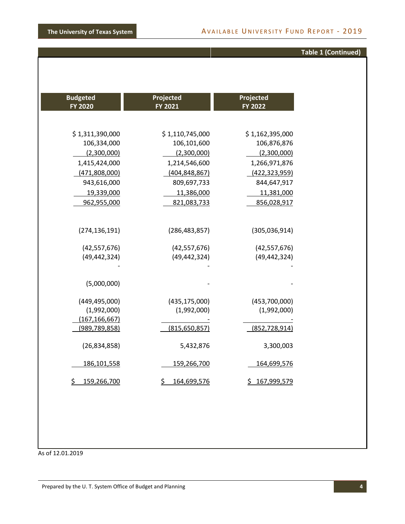## **Table 1 (Continued)**

| Projected<br>FY 2022 | Projected<br>FY 2021 | <b>Budgeted</b><br>FY 2020 |
|----------------------|----------------------|----------------------------|
| \$1,162,395,000      | \$1,110,745,000      | \$1,311,390,000            |
| 106,876,876          | 106,101,600          | 106,334,000                |
| (2,300,000)          | (2,300,000)          | (2,300,000)                |
| 1,266,971,876        | 1,214,546,600        | 1,415,424,000              |
| (422, 323, 959)      | (404, 848, 867)      | (471,808,000)              |
| 844,647,917          | 809,697,733          | 943,616,000                |
| 11,381,000           | 11,386,000           | 19,339,000                 |
| 856,028,917          | 821,083,733          | 962,955,000                |
| (305,036,914)        | (286, 483, 857)      | (274, 136, 191)            |
| (42, 557, 676)       | (42, 557, 676)       | (42, 557, 676)             |
| (49, 442, 324)       | (49, 442, 324)       | (49, 442, 324)             |
|                      |                      |                            |
|                      |                      | (5,000,000)                |
| (453,700,000)        | (435, 175, 000)      | (449, 495, 000)            |
| (1,992,000)          | (1,992,000)          | (1,992,000)                |
|                      |                      | (167, 166, 667)            |
| (852, 728, 914)      | (815, 650, 857)      | (989, 789, 858)            |
| 3,300,003            | 5,432,876            | (26, 834, 858)             |
| 164,699,576          | 159,266,700          | 186, 101, 558              |
| \$167,999,579        | \$<br>164,699,576    | \$<br>159,266,700          |

As of 12.01.2019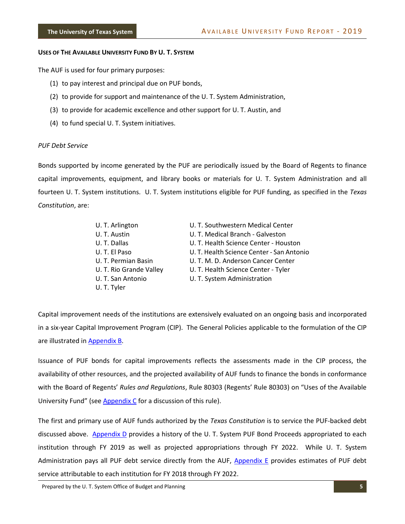#### <span id="page-7-0"></span>**USES OF THE AVAILABLE UNIVERSITY FUND BY U. T. SYSTEM**

The AUF is used for four primary purposes:

- (1) to pay interest and principal due on PUF bonds,
- (2) to provide for support and maintenance of the U. T. System Administration,
- (3) to provide for academic excellence and other support for U. T. Austin, and
- (4) to fund special U. T. System initiatives.

#### *PUF Debt Service*

Bonds supported by income generated by the PUF are periodically issued by the Board of Regents to finance capital improvements, equipment, and library books or materials for U. T. System Administration and all fourteen U. T. System institutions. U. T. System institutions eligible for PUF funding, as specified in the *Texas Constitution*, are:

| U. T. Arlington         | U. T. Southwestern Medical Center         |
|-------------------------|-------------------------------------------|
| U. T. Austin            | U. T. Medical Branch - Galveston          |
| U.T. Dallas             | U. T. Health Science Center - Houston     |
| U. T. El Paso           | U. T. Health Science Center - San Antonio |
| U. T. Permian Basin     | U. T. M. D. Anderson Cancer Center        |
| U. T. Rio Grande Valley | U. T. Health Science Center - Tyler       |
| U. T. San Antonio       | U. T. System Administration               |
| U. T. Tyler             |                                           |

Capital improvement needs of the institutions are extensively evaluated on an ongoing basis and incorporated in a six-year Capital Improvement Program (CIP). The General Policies applicable to the formulation of the CIP are illustrated in **Appendix B**.

Issuance of PUF bonds for capital improvements reflects the assessments made in the CIP process, the availability of other resources, and the projected availability of AUF funds to finance the bonds in conformance with the Board of Regents' *Rules and Regulations*, Rule 80303 (Regents' Rule 80303) on "Uses of the Available University Fund" (see Appendix C for a discussion of this rule).

The first and primary use of AUF funds authorized by the *Texas Constitution* is to service the PUF-backed debt discussed above. Appendix D provides a history of the U. T. System PUF Bond Proceeds appropriated to each institution through FY 2019 as well as projected appropriations through FY 2022. While U. T. System Administration pays all PUF debt service directly from the AUF, Appendix E provides estimates of PUF debt service attributable to each institution for FY 2018 through FY 2022.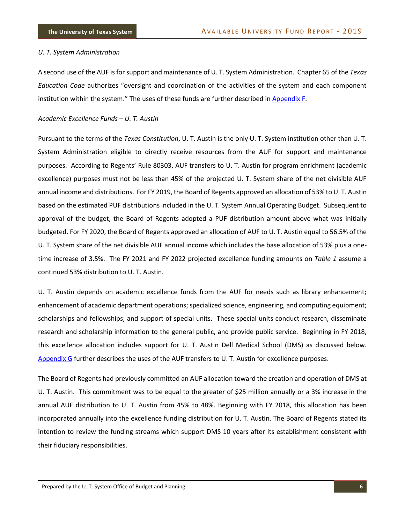#### *U. T. System Administration*

A second use of the AUF is for support and maintenance of U. T. System Administration. Chapter 65 of the *Texas Education Code* authorizes "oversight and coordination of the activities of the system and each component institution within the system." The uses of these funds are further described in Appendix F.

#### *Academic Excellence Funds – U. T. Austin*

Pursuant to the terms of the *Texas Constitution*, U. T. Austin is the only U. T. System institution other than U. T. System Administration eligible to directly receive resources from the AUF for support and maintenance purposes. According to Regents' Rule 80303, AUF transfers to U. T. Austin for program enrichment (academic excellence) purposes must not be less than 45% of the projected U. T. System share of the net divisible AUF annual income and distributions. For FY 2019, the Board of Regents approved an allocation of 53% to U. T. Austin based on the estimated PUF distributions included in the U. T. System Annual Operating Budget. Subsequent to approval of the budget, the Board of Regents adopted a PUF distribution amount above what was initially budgeted. For FY 2020, the Board of Regents approved an allocation of AUF to U. T. Austin equal to 56.5% of the U. T. System share of the net divisible AUF annual income which includes the base allocation of 53% plus a onetime increase of 3.5%. The FY 2021 and FY 2022 projected excellence funding amounts on *Table 1* assume a continued 53% distribution to U. T. Austin.

U. T. Austin depends on academic excellence funds from the AUF for needs such as library enhancement; enhancement of academic department operations; specialized science, engineering, and computing equipment; scholarships and fellowships; and support of special units. These special units conduct research, disseminate research and scholarship information to the general public, and provide public service. Beginning in FY 2018, this excellence allocation includes support for U. T. Austin Dell Medical School (DMS) as discussed below. Appendix G further describes the uses of the AUF transfers to U. T. Austin for excellence purposes.

The Board of Regents had previously committed an AUF allocation toward the creation and operation of DMS at U. T. Austin. This commitment was to be equal to the greater of \$25 million annually or a 3% increase in the annual AUF distribution to U. T. Austin from 45% to 48%. Beginning with FY 2018, this allocation has been incorporated annually into the excellence funding distribution for U. T. Austin. The Board of Regents stated its intention to review the funding streams which support DMS 10 years after its establishment consistent with their fiduciary responsibilities.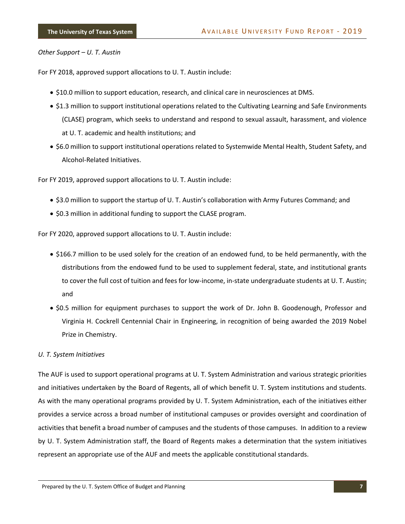#### *Other Support – U. T. Austin*

For FY 2018, approved support allocations to U. T. Austin include:

- \$10.0 million to support education, research, and clinical care in neurosciences at DMS.
- \$1.3 million to support institutional operations related to the Cultivating Learning and Safe Environments (CLASE) program, which seeks to understand and respond to sexual assault, harassment, and violence at U. T. academic and health institutions; and
- \$6.0 million to support institutional operations related to Systemwide Mental Health, Student Safety, and Alcohol-Related Initiatives.

For FY 2019, approved support allocations to U. T. Austin include:

- \$3.0 million to support the startup of U. T. Austin's collaboration with Army Futures Command; and
- \$0.3 million in additional funding to support the CLASE program.

For FY 2020, approved support allocations to U. T. Austin include:

- \$166.7 million to be used solely for the creation of an endowed fund, to be held permanently, with the distributions from the endowed fund to be used to supplement federal, state, and institutional grants to cover the full cost of tuition and fees for low-income, in-state undergraduate students at U. T. Austin; and
- \$0.5 million for equipment purchases to support the work of Dr. John B. Goodenough, Professor and Virginia H. Cockrell Centennial Chair in Engineering, in recognition of being awarded the 2019 Nobel Prize in Chemistry.

#### *U. T. System Initiatives*

The AUF is used to support operational programs at U. T. System Administration and various strategic priorities and initiatives undertaken by the Board of Regents, all of which benefit U. T. System institutions and students. As with the many operational programs provided by U. T. System Administration, each of the initiatives either provides a service across a broad number of institutional campuses or provides oversight and coordination of activities that benefit a broad number of campuses and the students of those campuses. In addition to a review by U. T. System Administration staff, the Board of Regents makes a determination that the system initiatives represent an appropriate use of the AUF and meets the applicable constitutional standards.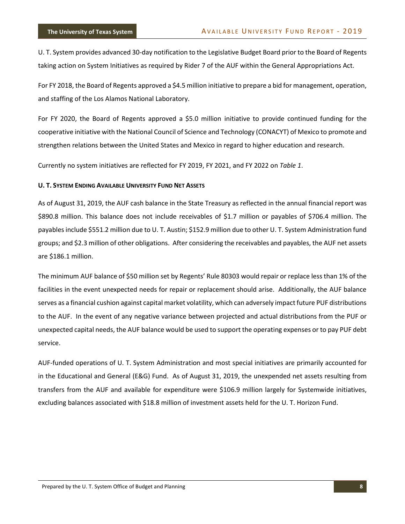U. T. System provides advanced 30-day notification to the Legislative Budget Board prior to the Board of Regents taking action on System Initiatives as required by Rider 7 of the AUF within the General Appropriations Act.

For FY 2018, the Board of Regents approved a \$4.5 million initiative to prepare a bid for management, operation, and staffing of the Los Alamos National Laboratory.

For FY 2020, the Board of Regents approved a \$5.0 million initiative to provide continued funding for the cooperative initiative with the National Council of Science and Technology (CONACYT) of Mexico to promote and strengthen relations between the United States and Mexico in regard to higher education and research.

Currently no system initiatives are reflected for FY 2019, FY 2021, and FY 2022 on *Table 1*.

#### <span id="page-10-0"></span>**U. T. SYSTEM ENDING AVAILABLE UNIVERSITY FUND NET ASSETS**

As of August 31, 2019, the AUF cash balance in the State Treasury as reflected in the annual financial report was \$890.8 million. This balance does not include receivables of \$1.7 million or payables of \$706.4 million. The payables include \$551.2 million due to U. T. Austin; \$152.9 million due to other U. T. System Administration fund groups; and \$2.3 million of other obligations. After considering the receivables and payables, the AUF net assets are \$186.1 million.

The minimum AUF balance of \$50 million set by Regents' Rule 80303 would repair or replace less than 1% of the facilities in the event unexpected needs for repair or replacement should arise. Additionally, the AUF balance serves as a financial cushion against capital market volatility, which can adversely impact future PUF distributions to the AUF. In the event of any negative variance between projected and actual distributions from the PUF or unexpected capital needs, the AUF balance would be used to support the operating expenses or to pay PUF debt service.

AUF-funded operations of U. T. System Administration and most special initiatives are primarily accounted for in the Educational and General (E&G) Fund. As of August 31, 2019, the unexpended net assets resulting from transfers from the AUF and available for expenditure were \$106.9 million largely for Systemwide initiatives, excluding balances associated with \$18.8 million of investment assets held for the U. T. Horizon Fund.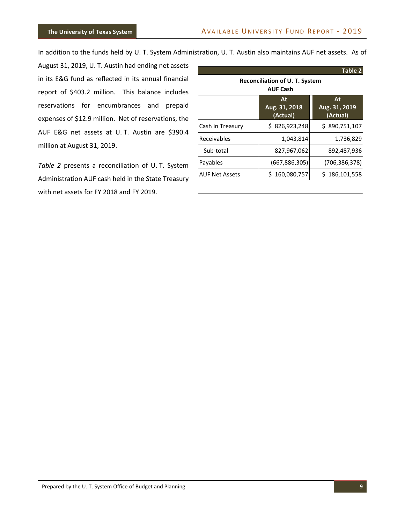In addition to the funds held by U. T. System Administration, U. T. Austin also maintains AUF net assets. As of

August 31, 2019, U. T. Austin had ending net assets in its E&G fund as reflected in its annual financial report of \$403.2 million. This balance includes reservations for encumbrances and prepaid expenses of \$12.9 million. Net of reservations, the AUF E&G net assets at U. T. Austin are \$390.4 million at August 31, 2019.

*Table 2* presents a reconciliation of U. T. System Administration AUF cash held in the State Treasury with net assets for FY 2018 and FY 2019.

| Table 2                                                  |                                 |                                 |  |  |  |
|----------------------------------------------------------|---------------------------------|---------------------------------|--|--|--|
| <b>Reconciliation of U. T. System</b><br><b>AUF Cash</b> |                                 |                                 |  |  |  |
|                                                          | At<br>Aug. 31, 2018<br>(Actual) | At<br>Aug. 31, 2019<br>(Actual) |  |  |  |
| Cash in Treasury                                         | \$826,923,248                   | \$890,751,107                   |  |  |  |
| Receivables                                              | 1,043,814                       | 1,736,829                       |  |  |  |
| Sub-total                                                | 827,967,062                     | 892,487,936                     |  |  |  |
| Payables                                                 | (667, 886, 305)                 | (706, 386, 378)                 |  |  |  |
| <b>AUF Net Assets</b>                                    | \$160,080,757                   | \$186,101,558                   |  |  |  |
|                                                          |                                 |                                 |  |  |  |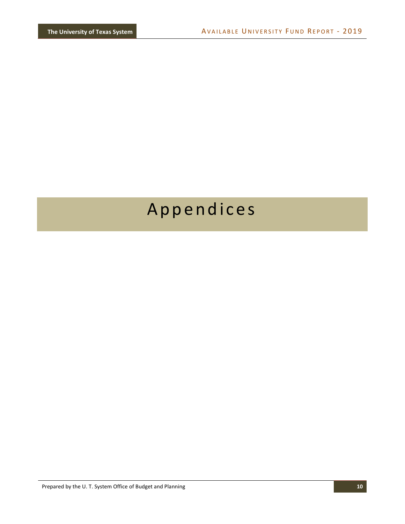# <span id="page-12-0"></span>Appendices

Prepared by the U. T. System Office of Budget and Planning **10**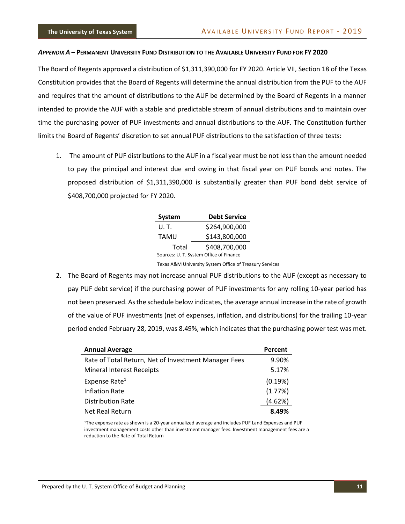#### <span id="page-13-0"></span>APPENDIX A - PERMANENT UNIVERSITY FUND DISTRIBUTION TO THE AVAILABLE UNIVERSITY FUND FOR FY 2020

The Board of Regents approved a distribution of \$1,311,390,000 for FY 2020. Article VII, Section 18 of the Texas Constitution provides that the Board of Regents will determine the annual distribution from the PUF to the AUF and requires that the amount of distributions to the AUF be determined by the Board of Regents in a manner intended to provide the AUF with a stable and predictable stream of annual distributions and to maintain over time the purchasing power of PUF investments and annual distributions to the AUF. The Constitution further limits the Board of Regents' discretion to set annual PUF distributions to the satisfaction of three tests:

1. The amount of PUF distributions to the AUF in a fiscal year must be not less than the amount needed to pay the principal and interest due and owing in that fiscal year on PUF bonds and notes. The proposed distribution of \$1,311,390,000 is substantially greater than PUF bond debt service of \$408,700,000 projected for FY 2020.

| System                                  | <b>Debt Service</b> |  |  |  |  |
|-----------------------------------------|---------------------|--|--|--|--|
| U. T.                                   | \$264,900,000       |  |  |  |  |
| TAMU                                    | \$143,800,000       |  |  |  |  |
| Total                                   | \$408,700,000       |  |  |  |  |
| Sources: U. T. System Office of Finance |                     |  |  |  |  |

Texas A&M University System Office of Treasury Services

2. The Board of Regents may not increase annual PUF distributions to the AUF (except as necessary to pay PUF debt service) if the purchasing power of PUF investments for any rolling 10-year period has not been preserved. As the schedule below indicates, the average annual increase in the rate of growth of the value of PUF investments (net of expenses, inflation, and distributions) for the trailing 10-year period ended February 28, 2019, was 8.49%, which indicates that the purchasing power test was met.

| <b>Annual Average</b>                                | Percent |
|------------------------------------------------------|---------|
| Rate of Total Return, Net of Investment Manager Fees | 9.90%   |
| <b>Mineral Interest Receipts</b>                     | 5.17%   |
| Expense Rate <sup>1</sup>                            | (0.19%) |
| <b>Inflation Rate</b>                                | (1.77%) |
| <b>Distribution Rate</b>                             | (4.62%) |
| Net Real Return                                      | 8.49%   |

<sup>1</sup>The expense rate as shown is a 20-year annualized average and includes PUF Land Expenses and PUF investment management costs other than investment manager fees. Investment management fees are a reduction to the Rate of Total Return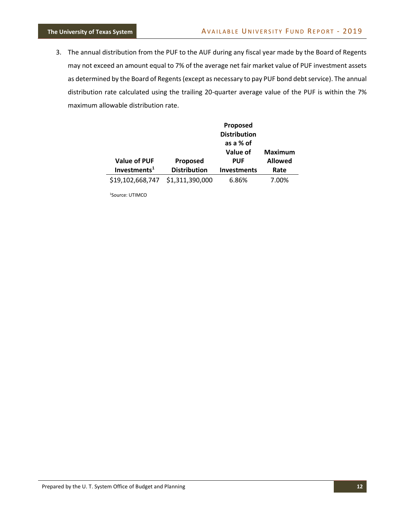3. The annual distribution from the PUF to the AUF during any fiscal year made by the Board of Regents may not exceed an amount equal to 7% of the average net fair market value of PUF investment assets as determined by the Board of Regents (except as necessary to pay PUF bond debt service). The annual distribution rate calculated using the trailing 20-quarter average value of the PUF is within the 7% maximum allowable distribution rate.

|                                        |                                 | Proposed<br><b>Distribution</b>  |                        |
|----------------------------------------|---------------------------------|----------------------------------|------------------------|
|                                        |                                 | as a % of<br>Value of            | <b>Maximum</b>         |
| <b>Value of PUF</b><br>Investments $1$ | Proposed<br><b>Distribution</b> | <b>PUF</b><br><b>Investments</b> | <b>Allowed</b><br>Rate |
| \$19,102,668,747                       | \$1,311,390,000                 | 6.86%                            | 7.00%                  |

1Source: UTIMCO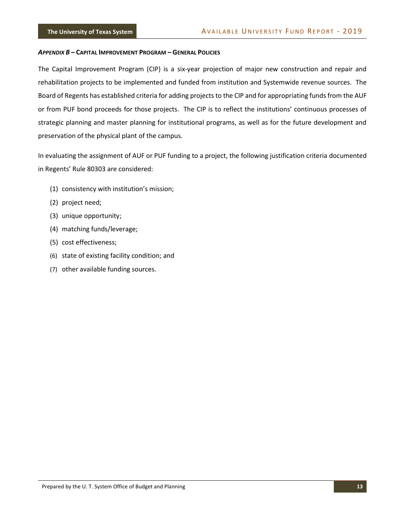#### <span id="page-15-0"></span>*APPENDIX B* **– CAPITAL IMPROVEMENT PROGRAM – GENERAL POLICIES**

The Capital Improvement Program (CIP) is a six-year projection of major new construction and repair and rehabilitation projects to be implemented and funded from institution and Systemwide revenue sources. The Board of Regents has established criteria for adding projects to the CIP and for appropriating funds from the AUF or from PUF bond proceeds for those projects. The CIP is to reflect the institutions' continuous processes of strategic planning and master planning for institutional programs, as well as for the future development and preservation of the physical plant of the campus.

In evaluating the assignment of AUF or PUF funding to a project, the following justification criteria documented in Regents' Rule 80303 are considered:

- (1) consistency with institution's mission;
- (2) project need;
- (3) unique opportunity;
- (4) matching funds/leverage;
- (5) cost effectiveness;
- (6) state of existing facility condition; and
- (7) other available funding sources.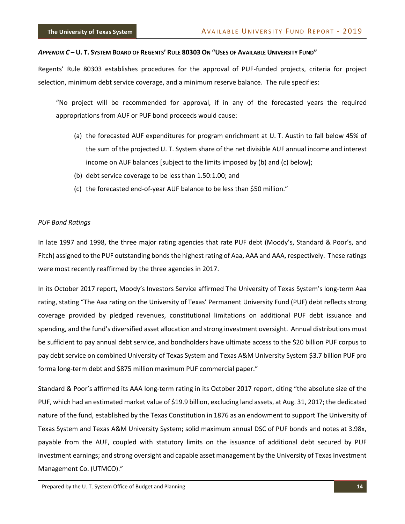#### <span id="page-16-0"></span>APPENDIX C-U. T. SYSTEM BOARD OF REGENTS' RULE 80303 ON "USES OF AVAILABLE UNIVERSITY FUND"

Regents' Rule 80303 establishes procedures for the approval of PUF-funded projects, criteria for project selection, minimum debt service coverage, and a minimum reserve balance. The rule specifies:

"No project will be recommended for approval, if in any of the forecasted years the required appropriations from AUF or PUF bond proceeds would cause:

- (a) the forecasted AUF expenditures for program enrichment at U. T. Austin to fall below 45% of the sum of the projected U. T. System share of the net divisible AUF annual income and interest income on AUF balances [subject to the limits imposed by (b) and (c) below];
- (b) debt service coverage to be less than 1.50:1.00; and
- (c) the forecasted end-of-year AUF balance to be less than \$50 million."

#### *PUF Bond Ratings*

In late 1997 and 1998, the three major rating agencies that rate PUF debt (Moody's, Standard & Poor's, and Fitch) assigned to the PUF outstanding bonds the highest rating of Aaa, AAA and AAA, respectively. These ratings were most recently reaffirmed by the three agencies in 2017.

In its October 2017 report, Moody's Investors Service affirmed The University of Texas System's long-term Aaa rating, stating "The Aaa rating on the University of Texas' Permanent University Fund (PUF) debt reflects strong coverage provided by pledged revenues, constitutional limitations on additional PUF debt issuance and spending, and the fund's diversified asset allocation and strong investment oversight. Annual distributions must be sufficient to pay annual debt service, and bondholders have ultimate access to the \$20 billion PUF corpus to pay debt service on combined University of Texas System and Texas A&M University System \$3.7 billion PUF pro forma long-term debt and \$875 million maximum PUF commercial paper."

Standard & Poor's affirmed its AAA long-term rating in its October 2017 report, citing "the absolute size of the PUF, which had an estimated market value of \$19.9 billion, excluding land assets, at Aug. 31, 2017; the dedicated nature of the fund, established by the Texas Constitution in 1876 as an endowment to support The University of Texas System and Texas A&M University System; solid maximum annual DSC of PUF bonds and notes at 3.98x, payable from the AUF, coupled with statutory limits on the issuance of additional debt secured by PUF investment earnings; and strong oversight and capable asset management by the University of Texas Investment Management Co. (UTMCO)."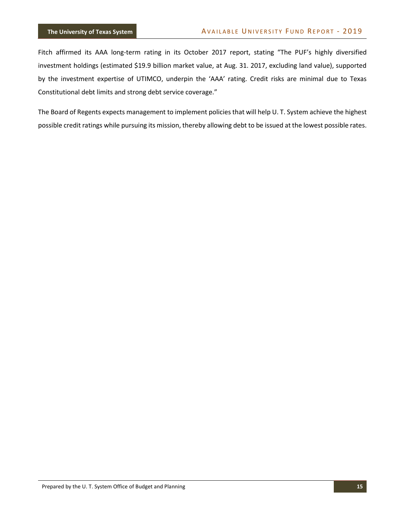Fitch affirmed its AAA long-term rating in its October 2017 report, stating "The PUF's highly diversified investment holdings (estimated \$19.9 billion market value, at Aug. 31. 2017, excluding land value), supported by the investment expertise of UTIMCO, underpin the 'AAA' rating. Credit risks are minimal due to Texas Constitutional debt limits and strong debt service coverage."

The Board of Regents expects management to implement policies that will help U. T. System achieve the highest possible credit ratings while pursuing its mission, thereby allowing debt to be issued at the lowest possible rates.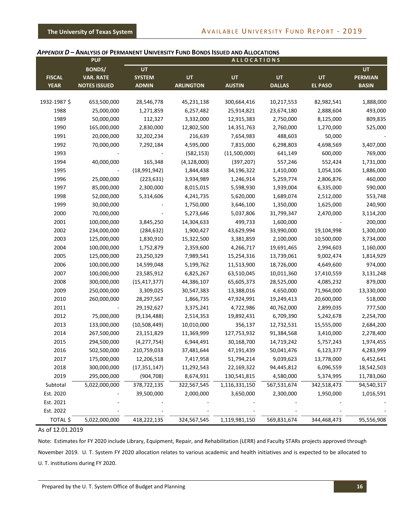#### <span id="page-18-0"></span>*APPENDIX D* **– ANALYSIS OF PERMANENT UNIVERSITY FUND BONDS ISSUED AND ALLOCATIONS**

|               | <b>PUF</b>          |                |                  | <b>ALLOCATIONS</b> |               |                |                |
|---------------|---------------------|----------------|------------------|--------------------|---------------|----------------|----------------|
|               | <b>BONDS/</b>       | UT             |                  |                    |               |                | <b>UT</b>      |
| <b>FISCAL</b> | <b>VAR. RATE</b>    | <b>SYSTEM</b>  | <b>UT</b>        | <b>UT</b>          | <b>UT</b>     | UT             | <b>PERMIAN</b> |
| <b>YEAR</b>   | <b>NOTES ISSUED</b> | <b>ADMIN</b>   | <b>ARLINGTON</b> | <b>AUSTIN</b>      | <b>DALLAS</b> | <b>EL PASO</b> | <b>BASIN</b>   |
|               |                     |                |                  |                    |               |                |                |
| 1932-1987 \$  | 653,500,000         | 28,546,778     | 45,231,138       | 300,664,416        | 10,217,553    | 82,982,541     | 1,888,000      |
| 1988          | 25,000,000          | 1,271,859      | 6,257,482        | 25,914,821         | 23,674,180    | 2,888,604      | 493,000        |
| 1989          | 50,000,000          | 112,327        | 3,332,000        | 12,915,383         | 2,750,000     | 8,125,000      | 809,835        |
| 1990          | 165,000,000         | 2,830,000      | 12,802,500       | 14,351,763         | 2,760,000     | 1,270,000      | 525,000        |
| 1991          | 20,000,000          | 32,202,234     | 216,639          | 7,654,983          | 488,603       | 50,000         |                |
| 1992          | 70,000,000          | 7,292,184      | 4,595,000        | 7,815,000          | 6,298,803     | 4,698,569      | 3,407,000      |
| 1993          |                     |                | (582, 153)       | (11,500,000)       | 641,149       | 600,000        | 769,000        |
| 1994          | 40,000,000          | 165,348        | (4, 128, 000)    | (397, 207)         | 557,246       | 552,424        | 1,731,000      |
| 1995          |                     | (18,991,942)   | 1,844,438        | 34,196,322         | 1,410,000     | 1,054,106      | 1,886,000      |
| 1996          | 25,000,000          | (223, 631)     | 3,934,989        | 1,246,914          | 5,259,774     | 2,806,876      | 460,000        |
| 1997          | 85,000,000          | 2,300,000      | 8,015,015        | 5,598,930          | 1,939,004     | 6,335,000      | 590,000        |
| 1998          | 52,000,000          | 5,314,606      | 4,241,735        | 5,620,000          | 1,689,074     | 2,512,000      | 553,748        |
| 1999          | 30,000,000          |                | 1,750,000        | 3,646,100          | 1,350,000     | 1,625,000      | 240,900        |
| 2000          | 70,000,000          |                | 5,273,646        | 5,037,806          | 31,799,347    | 2,470,000      | 3,114,200      |
| 2001          | 100,000,000         | 3,845,250      | 14,304,633       | 499,733            | 1,600,000     |                | 200,000        |
| 2002          | 234,000,000         | (284, 632)     | 1,900,427        | 43,629,994         | 33,990,000    | 19,104,998     | 1,300,000      |
| 2003          | 125,000,000         | 1,830,910      | 15,322,500       | 3,381,859          | 2,100,000     | 10,500,000     | 3,734,000      |
| 2004          | 100,000,000         | 1,752,879      | 2,359,600        | 4,266,717          | 19,691,465    | 2,994,603      | 1,160,000      |
| 2005          | 125,000,000         | 23,250,329     | 7,989,541        | 15,254,316         | 13,739,061    | 9,002,474      | 1,814,929      |
| 2006          | 100,000,000         | 14,599,048     | 5,199,762        | 11,513,900         | 18,726,000    | 4,649,600      | 974,000        |
| 2007          | 100,000,000         | 23,585,912     | 6,825,267        | 63,510,045         | 10,011,360    | 17,410,559     | 3,131,248      |
| 2008          | 300,000,000         | (15, 417, 377) | 44,386,107       | 65,605,373         | 28,525,000    | 4,085,232      | 879,000        |
| 2009          | 250,000,000         | 3,309,025      | 30,547,383       | 13,388,016         | 4,650,000     | 71,964,000     | 13,330,000     |
| 2010          | 260,000,000         | 28,297,567     | 1,866,735        | 47,924,991         | 19,249,413    | 20,600,000     | 518,000        |
| 2011          |                     | 29,192,627     | 3,375,241        | 4,722,986          | 40,762,000    | 2,899,035      | 777,500        |
| 2012          | 75,000,000          | (9, 134, 488)  | 2,514,353        | 19,892,431         | 6,709,390     | 5,242,678      | 2,254,700      |
| 2013          | 133,000,000         | (10,508,449)   | 10,010,000       | 356,137            | 12,732,531    | 15,555,000     | 2,684,200      |
| 2014          | 267,500,000         | 23,151,829     | 11,369,999       | 127,753,932        | 91,384,568    | 3,410,000      | 2,278,400      |
| 2015          | 294,500,000         | (4, 277, 754)  | 6,944,491        | 30,168,700         | 14,719,242    | 5,757,243      | 1,974,455      |
| 2016          | 502,500,000         | 210,759,033    | 37,481,644       | 47,191,439         | 50,041,476    | 6,123,377      | 4,283,999      |
| 2017          | 175,000,000         | 12,206,518     | 7,417,958        | 51,794,214         | 9,039,623     | 13,778,000     | 6,452,641      |
| 2018          | 300,000,000         | (17, 351, 147) | 11,292,543       | 22,169,322         | 94,445,812    | 6,096,559      | 18,542,503     |
| 2019          | 295,000,000         | (904, 708)     | 8,674,931        | 130,541,815        | 4,580,000     | 5,374,995      | 11,783,060     |
| Subtotal      | 5,022,000,000       | 378,722,135    | 322,567,545      | 1,116,331,150      | 567,531,674   | 342,518,473    | 94,540,317     |
| Est. 2020     |                     | 39,500,000     | 2,000,000        | 3,650,000          | 2,300,000     | 1,950,000      | 1,016,591      |
| Est. 2021     |                     |                |                  |                    |               |                |                |
| Est. 2022     |                     |                |                  |                    |               |                |                |
| TOTAL \$      | 5,022,000,000       | 418,222,135    | 324,567,545      | 1,119,981,150      | 569,831,674   | 344,468,473    | 95,556,908     |

#### As of 12.01.2019

Note: Estimates for FY 2020 include Library, Equipment, Repair, and Rehabilitation (LERR) and Faculty STARs projects approved through November 2019. U. T. System FY 2020 allocation relates to various academic and health initiatives and is expected to be allocated to U. T. institutions during FY 2020.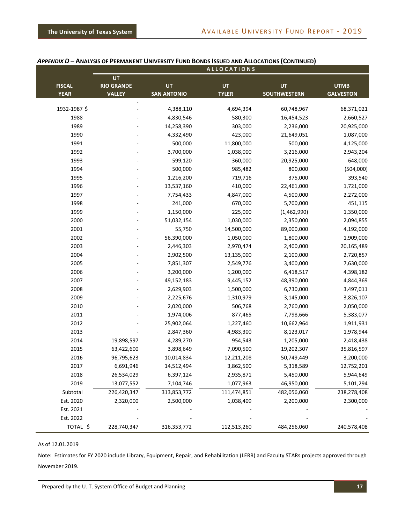|               |                          |                    | <b>ALLOCATIONS</b> |                     |                        |
|---------------|--------------------------|--------------------|--------------------|---------------------|------------------------|
|               | UT                       |                    |                    |                     |                        |
| <b>FISCAL</b> | <b>RIO GRANDE</b>        | UT                 | <b>UT</b>          | <b>UT</b>           | <b>UTMB</b>            |
| <b>YEAR</b>   | <b>VALLEY</b>            | <b>SAN ANTONIO</b> | <b>TYLER</b>       | <b>SOUTHWESTERN</b> | <b>GALVESTON</b>       |
| 1932-1987 \$  | $\overline{\phantom{a}}$ | 4,388,110          | 4,694,394          | 60,748,967          | 68,371,021             |
| 1988          |                          | 4,830,546          | 580,300            | 16,454,523          | 2,660,527              |
| 1989          |                          | 14,258,390         | 303,000            | 2,236,000           | 20,925,000             |
| 1990          |                          | 4,332,490          | 423,000            | 21,649,051          | 1,087,000              |
| 1991          |                          | 500,000            | 11,800,000         | 500,000             |                        |
|               |                          |                    |                    | 3,216,000           | 4,125,000<br>2,943,204 |
| 1992          |                          | 3,700,000          | 1,038,000          |                     |                        |
| 1993          |                          | 599,120            | 360,000            | 20,925,000          | 648,000                |
| 1994          |                          | 500,000            | 985,482            | 800,000             | (504,000)              |
| 1995          |                          | 1,216,200          | 719,716            | 375,000             | 393,540                |
| 1996          |                          | 13,537,160         | 410,000            | 22,461,000          | 1,721,000              |
| 1997          |                          | 7,754,433          | 4,847,000          | 4,500,000           | 2,272,000              |
| 1998          |                          | 241,000            | 670,000            | 5,700,000           | 451,115                |
| 1999          |                          | 1,150,000          | 225,000            | (1,462,990)         | 1,350,000              |
| 2000          |                          | 51,032,154         | 1,030,000          | 2,350,000           | 2,094,855              |
| 2001          |                          | 55,750             | 14,500,000         | 89,000,000          | 4,192,000              |
| 2002          |                          | 56,390,000         | 1,050,000          | 1,800,000           | 1,909,000              |
| 2003          |                          | 2,446,303          | 2,970,474          | 2,400,000           | 20,165,489             |
| 2004          |                          | 2,902,500          | 13,135,000         | 2,100,000           | 2,720,857              |
| 2005          |                          | 7,851,307          | 2,549,776          | 3,400,000           | 7,630,000              |
| 2006          |                          | 3,200,000          | 1,200,000          | 6,418,517           | 4,398,182              |
| 2007          |                          | 49,152,183         | 9,445,152          | 48,390,000          | 4,844,369              |
| 2008          |                          | 2,629,903          | 1,500,000          | 6,730,000           | 3,497,011              |
| 2009          |                          | 2,225,676          | 1,310,979          | 3,145,000           | 3,826,107              |
| 2010          |                          | 2,020,000          | 506,768            | 2,760,000           | 2,050,000              |
| 2011          |                          | 1,974,006          | 877,465            | 7,798,666           | 5,383,077              |
| 2012          |                          | 25,902,064         | 1,227,460          | 10,662,964          | 1,911,931              |
| 2013          |                          | 2,847,360          | 4,983,300          | 8,123,017           | 1,978,944              |
| 2014          | 19,898,597               | 4,289,270          | 954,543            | 1,205,000           | 2,418,438              |
| 2015          | 63,422,600               | 3,898,649          | 7,090,500          | 19,202,307          | 35,816,597             |
| 2016          | 96,795,623               | 10,014,834         | 12,211,208         | 50,749,449          | 3,200,000              |
| 2017          | 6,691,946                | 14,512,494         | 3,862,500          | 5,318,589           | 12,752,201             |
| 2018          | 26,534,029               | 6,397,124          | 2,935,871          | 5,450,000           | 5,944,649              |
| 2019          | 13,077,552               | 7,104,746          | 1,077,963          | 46,950,000          | 5,101,294              |
| Subtotal      | 226,420,347              | 313,853,772        | 111,474,851        | 482,056,060         | 238,278,408            |
| Est. 2020     | 2,320,000                | 2,500,000          | 1,038,409          | 2,200,000           | 2,300,000              |
| Est. 2021     |                          |                    |                    |                     |                        |
| Est. 2022     |                          |                    |                    |                     |                        |
| TOTAL \$      | 228,740,347              | 316, 353, 772      | 112,513,260        | 484,256,060         | 240,578,408            |

#### **APPENDIX D - ANALYSIS OF PERMANENT UNIVERSITY FUND BONDS ISSUED AND ALLOCATIONS (CONTINUED)**

#### As of 12.01.2019

Note: Estimates for FY 2020 include Library, Equipment, Repair, and Rehabilitation (LERR) and Faculty STARs projects approved through November 2019.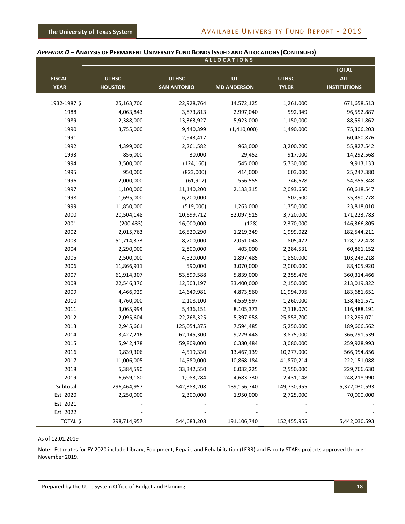|               |                |                    | <b>ALLOCATIONS</b> |              |                            |
|---------------|----------------|--------------------|--------------------|--------------|----------------------------|
| <b>FISCAL</b> | <b>UTHSC</b>   | <b>UTHSC</b>       | <b>UT</b>          | <b>UTHSC</b> | <b>TOTAL</b><br><b>ALL</b> |
| <b>YEAR</b>   | <b>HOUSTON</b> | <b>SAN ANTONIO</b> | <b>MD ANDERSON</b> | <b>TYLER</b> | <b>INSTITUTIONS</b>        |
| 1932-1987 \$  | 25,163,706     | 22,928,764         | 14,572,125         | 1,261,000    | 671,658,513                |
| 1988          | 4,063,843      | 3,873,813          | 2,997,040          | 592,349      | 96,552,887                 |
| 1989          | 2,388,000      | 13,363,927         | 5,923,000          | 1,150,000    | 88,591,862                 |
| 1990          | 3,755,000      | 9,440,399          | (1,410,000)        | 1,490,000    | 75,306,203                 |
| 1991          |                | 2,943,417          |                    |              | 60,480,876                 |
| 1992          | 4,399,000      | 2,261,582          | 963,000            | 3,200,200    | 55,827,542                 |
| 1993          | 856,000        | 30,000             | 29,452             | 917,000      | 14,292,568                 |
| 1994          | 3,500,000      | (124, 160)         | 545,000            | 5,730,000    | 9,913,133                  |
| 1995          | 950,000        | (823,000)          | 414,000            | 603,000      | 25,247,380                 |
| 1996          | 2,000,000      | (61, 917)          | 556,555            | 746,628      | 54,855,348                 |
| 1997          | 1,100,000      | 11,140,200         | 2,133,315          | 2,093,650    | 60,618,547                 |
| 1998          | 1,695,000      | 6,200,000          |                    | 502,500      | 35,390,778                 |
| 1999          | 11,850,000     | (519,000)          | 1,263,000          | 1,350,000    | 23,818,010                 |
| 2000          | 20,504,148     | 10,699,712         | 32,097,915         | 3,720,000    | 171,223,783                |
| 2001          | (200, 433)     | 16,000,000         | (128)              | 2,370,000    | 146,366,805                |
| 2002          | 2,015,763      | 16,520,290         | 1,219,349          | 1,999,022    | 182,544,211                |
| 2003          | 51,714,373     | 8,700,000          | 2,051,048          | 805,472      | 128,122,428                |
| 2004          | 2,290,000      | 2,800,000          | 403,000            | 2,284,531    | 60,861,152                 |
| 2005          | 2,500,000      | 4,520,000          | 1,897,485          | 1,850,000    | 103,249,218                |
| 2006          | 11,866,911     | 590,000            | 3,070,000          | 2,000,000    | 88,405,920                 |
| 2007          | 61,914,307     | 53,899,588         | 5,839,000          | 2,355,476    | 360,314,466                |
| 2008          | 22,546,376     | 12,503,197         | 33,400,000         | 2,150,000    | 213,019,822                |
| 2009          | 4,466,929      | 14,649,981         | 4,873,560          | 11,994,995   | 183,681,651                |
| 2010          | 4,760,000      | 2,108,100          | 4,559,997          | 1,260,000    | 138,481,571                |
| 2011          | 3,065,994      | 5,436,151          | 8,105,373          | 2,118,070    | 116,488,191                |
| 2012          | 2,095,604      | 22,768,325         | 5,397,958          | 25,853,700   | 123,299,071                |
| 2013          | 2,945,661      | 125,054,375        | 7,594,485          | 5,250,000    | 189,606,562                |
| 2014          | 3,427,216      | 62,145,300         | 9,229,448          | 3,875,000    | 366,791,539                |
| 2015          | 5,942,478      | 59,809,000         | 6,380,484          | 3,080,000    | 259,928,993                |
| 2016          | 9,839,306      | 4,519,330          | 13,467,139         | 10,277,000   | 566,954,856                |
| 2017          | 11,006,005     | 14,580,000         | 10,868,184         | 41,870,214   | 222,151,088                |
| 2018          | 5,384,590      | 33,342,550         | 6,032,225          | 2,550,000    | 229,766,630                |
| 2019          | 6,659,180      | 1,083,284          | 4,683,730          | 2,431,148    | 248,218,990                |
| Subtotal      | 296,464,957    | 542,383,208        | 189,156,740        | 149,730,955  | 5,372,030,593              |
| Est. 2020     | 2,250,000      | 2,300,000          | 1,950,000          | 2,725,000    | 70,000,000                 |
| Est. 2021     |                |                    |                    |              |                            |
| Est. 2022     |                |                    |                    |              |                            |
| TOTAL \$      | 298,714,957    | 544,683,208        | 191,106,740        | 152,455,955  | 5,442,030,593              |

#### APPENDIX D - ANALYSIS OF PERMANENT UNIVERSITY FUND BONDS ISSUED AND ALLOCATIONS (CONTINUED)

#### As of 12.01.2019

Note: Estimates for FY 2020 include Library, Equipment, Repair, and Rehabilitation (LERR) and Faculty STARs projects approved through November 2019.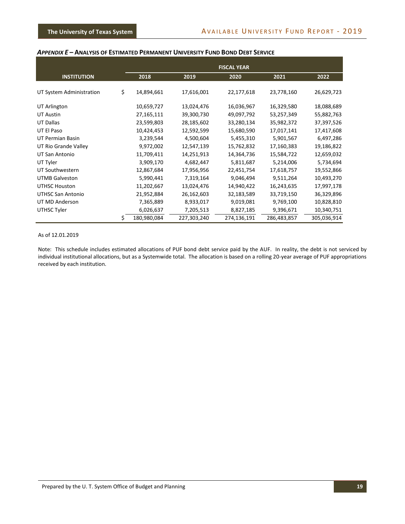#### <span id="page-21-0"></span>*APPENDIX E* **– ANALYSIS OF ESTIMATED PERMANENT UNIVERSITY FUND BOND DEBT SERVICE**

|                          |                   |             | <b>FISCAL YEAR</b> |             |             |  |
|--------------------------|-------------------|-------------|--------------------|-------------|-------------|--|
| <b>INSTITUTION</b>       | 2018              | 2019        | 2020               | 2021        | 2022        |  |
| UT System Administration | \$<br>14,894,661  | 17,616,001  | 22,177,618         | 23,778,160  |             |  |
|                          |                   |             |                    |             | 26,629,723  |  |
| UT Arlington             | 10,659,727        | 13,024,476  | 16,036,967         | 16,329,580  | 18,088,689  |  |
| <b>UT Austin</b>         | 27,165,111        | 39,300,730  | 49,097,792         | 53,257,349  | 55,882,763  |  |
| <b>UT Dallas</b>         | 23,599,803        | 28,185,602  | 33,280,134         | 35,982,372  | 37,397,526  |  |
| UT El Paso               | 10,424,453        | 12,592,599  | 15,680,590         | 17,017,141  | 17,417,608  |  |
| UT Permian Basin         | 3,239,544         | 4,500,604   | 5,455,310          | 5,901,567   | 6,497,286   |  |
| UT Rio Grande Valley     | 9,972,002         | 12,547,139  | 15,762,832         | 17,160,383  | 19,186,822  |  |
| UT San Antonio           | 11,709,411        | 14,251,913  | 14,364,736         | 15,584,722  | 12,659,032  |  |
| UT Tyler                 | 3,909,170         | 4,682,447   | 5,811,687          | 5,214,006   | 5,734,694   |  |
| UT Southwestern          | 12,867,684        | 17,956,956  | 22,451,754         | 17,618,757  | 19,552,866  |  |
| <b>UTMB Galveston</b>    | 5,990,441         | 7,319,164   | 9,046,494          | 9,511,264   | 10,493,270  |  |
| <b>UTHSC Houston</b>     | 11,202,667        | 13,024,476  | 14,940,422         | 16,243,635  | 17,997,178  |  |
| UTHSC San Antonio        | 21,952,884        | 26,162,603  | 32,183,589         | 33,719,150  | 36,329,896  |  |
| UT MD Anderson           | 7,365,889         | 8,933,017   | 9,019,081          | 9,769,100   | 10,828,810  |  |
| UTHSC Tyler              | 6,026,637         | 7,205,513   | 8,827,185          | 9,396,671   | 10,340,751  |  |
|                          | \$<br>180,980,084 | 227,303,240 | 274,136,191        | 286,483,857 | 305,036,914 |  |

#### As of 12.01.2019

Note: This schedule includes estimated allocations of PUF bond debt service paid by the AUF. In reality, the debt is not serviced by individual institutional allocations, but as a Systemwide total. The allocation is based on a rolling 20-year average of PUF appropriations received by each institution.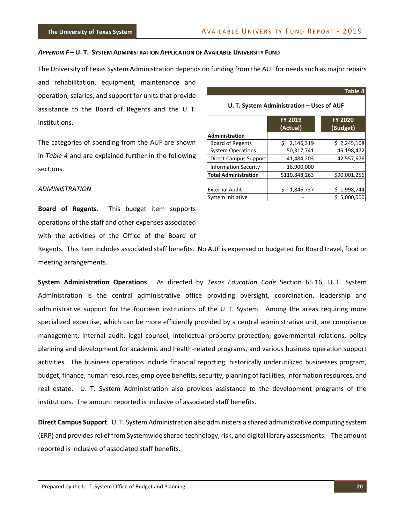#### <span id="page-22-0"></span>*APPENDIX F* **– U. T. SYSTEM ADMINISTRATION APPLICATION OF AVAILABLE UNIVERSITY FUND**

The University of Texas System Administration depends on funding from the AUF for needs such as major repairs

and rehabilitation, equipment, maintenance and operation, salaries, and support for units that provide assistance to the Board of Regents and the U. T. institutions.

The categories of spending from the AUF are shown in *Table 4* and are explained further in the following sections.

|                                           |                            | Table 4                    |  |
|-------------------------------------------|----------------------------|----------------------------|--|
| U. T. System Administration - Uses of AUF |                            |                            |  |
|                                           | <b>FY 2019</b><br>(Actual) | <b>FY 2020</b><br>(Budget) |  |
| <b>Administration</b>                     |                            |                            |  |
| <b>Board of Regents</b>                   | Ś<br>2,146,319             | \$2,245,108                |  |
| <b>System Operations</b>                  | 50,317,741                 | 45,198,472                 |  |
| <b>Direct Campus Support</b>              | 41,484,203                 | 42,557,676                 |  |
| <b>Information Security</b>               | 16,900,000                 |                            |  |
| <b>Total Administration</b>               | \$110,848,263              | \$90,001,256               |  |
|                                           |                            |                            |  |
| <b>External Audit</b>                     | Ś<br>1,846,737             | 1,998,744                  |  |
| System Initiative                         |                            | \$5,000,000                |  |

#### *ADMINISTRATION*

**Board of Regents**. This budget item supports operations of the staff and other expenses associated with the activities of the Office of the Board of

Regents. This item includes associated staff benefits. No AUF is expensed or budgeted for Board travel, food or meeting arrangements.

**System Administration Operations**. As directed by *Texas Education Code* Section 65.16, U. T. System Administration is the central administrative office providing oversight, coordination, leadership and administrative support for the fourteen institutions of the U. T. System. Among the areas requiring more specialized expertise, which can be more efficiently provided by a central administrative unit, are compliance management, internal audit, legal counsel, intellectual property protection, governmental relations, policy planning and development for academic and health-related programs, and various business operation support activities. The business operations include financial reporting, historically underutilized businesses program, budget, finance, human resources, employee benefits, security, planning of facilities, information resources, and real estate. U. T. System Administration also provides assistance to the development programs of the institutions. The amount reported is inclusive of associated staff benefits.

**Direct Campus Support**. U. T. System Administration also administers a shared administrative computing system (ERP) and provides relief from Systemwide shared technology, risk, and digital library assessments. The amount reported is inclusive of associated staff benefits.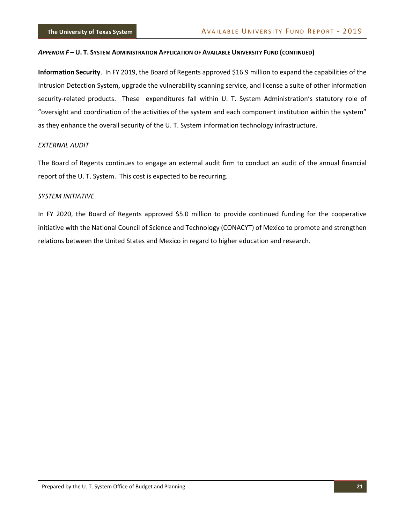#### APPENDIX F-U. T. SYSTEM ADMINISTRATION APPLICATION OF AVAILABLE UNIVERSITY FUND (CONTINUED)

**Information Security**. In FY 2019, the Board of Regents approved \$16.9 million to expand the capabilities of the Intrusion Detection System, upgrade the vulnerability scanning service, and license a suite of other information security-related products. These expenditures fall within U. T. System Administration's statutory role of "oversight and coordination of the activities of the system and each component institution within the system" as they enhance the overall security of the U. T. System information technology infrastructure.

#### *EXTERNAL AUDIT*

The Board of Regents continues to engage an external audit firm to conduct an audit of the annual financial report of the U. T. System. This cost is expected to be recurring.

#### *SYSTEM INITIATIVE*

In FY 2020, the Board of Regents approved \$5.0 million to provide continued funding for the cooperative initiative with the National Council of Science and Technology (CONACYT) of Mexico to promote and strengthen relations between the United States and Mexico in regard to higher education and research.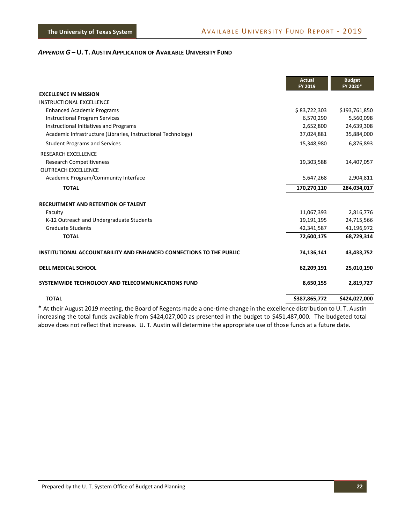<span id="page-24-0"></span>

|                                                                     | <b>Actual</b><br>FY 2019 | <b>Budget</b><br>FY 2020* |
|---------------------------------------------------------------------|--------------------------|---------------------------|
| <b>EXCELLENCE IN MISSION</b>                                        |                          |                           |
| <b>INSTRUCTIONAL EXCELLENCE</b>                                     |                          |                           |
| <b>Enhanced Academic Programs</b>                                   | \$83,722,303             | \$193,761,850             |
| <b>Instructional Program Services</b>                               | 6,570,290                | 5,560,098                 |
| Instructional Initiatives and Programs                              | 2,652,800                | 24,639,308                |
| Academic Infrastructure (Libraries, Instructional Technology)       | 37,024,881               | 35,884,000                |
| <b>Student Programs and Services</b>                                | 15,348,980               | 6,876,893                 |
| <b>RESEARCH EXCELLENCE</b>                                          |                          |                           |
| <b>Research Competitiveness</b>                                     | 19,303,588               | 14,407,057                |
| <b>OUTREACH EXCELLENCE</b>                                          |                          |                           |
| Academic Program/Community Interface                                | 5,647,268                | 2,904,811                 |
| <b>TOTAL</b>                                                        | 170,270,110              | 284,034,017               |
| <b>RECRUITMENT AND RETENTION OF TALENT</b>                          |                          |                           |
| Faculty                                                             | 11,067,393               | 2,816,776                 |
| K-12 Outreach and Undergraduate Students                            | 19,191,195               | 24,715,566                |
| <b>Graduate Students</b>                                            | 42,341,587               | 41,196,972                |
| <b>TOTAL</b>                                                        | 72,600,175               | 68,729,314                |
| INSTITUTIONAL ACCOUNTABILITY AND ENHANCED CONNECTIONS TO THE PUBLIC | 74,136,141               | 43,433,752                |
| <b>DELL MEDICAL SCHOOL</b>                                          | 62,209,191               | 25,010,190                |
| SYSTEMWIDE TECHNOLOGY AND TELECOMMUNICATIONS FUND                   | 8,650,155                | 2,819,727                 |
| <b>TOTAL</b>                                                        | \$387,865,772            | \$424,027,000             |

\* At their August 2019 meeting, the Board of Regents made a one-time change in the excellence distribution to U. T. Austin increasing the total funds available from \$424,027,000 as presented in the budget to \$451,487,000. The budgeted total above does not reflect that increase. U. T. Austin will determine the appropriate use of those funds at a future date.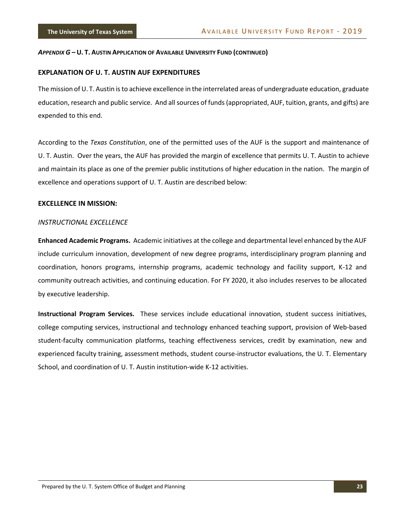#### **EXPLANATION OF U. T. AUSTIN AUF EXPENDITURES**

The mission of U. T. Austin is to achieve excellence in the interrelated areas of undergraduate education, graduate education, research and public service. And all sources of funds (appropriated, AUF, tuition, grants, and gifts) are expended to this end.

According to the *Texas Constitution*, one of the permitted uses of the AUF is the support and maintenance of U. T. Austin. Over the years, the AUF has provided the margin of excellence that permits U. T. Austin to achieve and maintain its place as one of the premier public institutions of higher education in the nation. The margin of excellence and operations support of U. T. Austin are described below:

#### **EXCELLENCE IN MISSION:**

#### *INSTRUCTIONAL EXCELLENCE*

**Enhanced Academic Programs.** Academic initiatives at the college and departmental level enhanced by the AUF include curriculum innovation, development of new degree programs, interdisciplinary program planning and coordination, honors programs, internship programs, academic technology and facility support, K-12 and community outreach activities, and continuing education. For FY 2020, it also includes reserves to be allocated by executive leadership.

**Instructional Program Services.** These services include educational innovation, student success initiatives, college computing services, instructional and technology enhanced teaching support, provision of Web-based student-faculty communication platforms, teaching effectiveness services, credit by examination, new and experienced faculty training, assessment methods, student course-instructor evaluations, the U. T. Elementary School, and coordination of U. T. Austin institution-wide K-12 activities.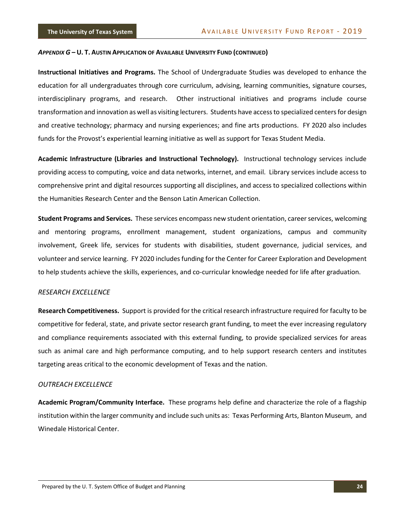**Instructional Initiatives and Programs.** The School of Undergraduate Studies was developed to enhance the education for all undergraduates through core curriculum, advising, learning communities, signature courses, interdisciplinary programs, and research. Other instructional initiatives and programs include course transformation and innovation as well as visiting lecturers. Students have access to specialized centers for design and creative technology; pharmacy and nursing experiences; and fine arts productions. FY 2020 also includes funds for the Provost's experiential learning initiative as well as support for Texas Student Media.

**Academic Infrastructure (Libraries and Instructional Technology).** Instructional technology services include providing access to computing, voice and data networks, internet, and email. Library services include access to comprehensive print and digital resources supporting all disciplines, and access to specialized collections within the Humanities Research Center and the Benson Latin American Collection.

**Student Programs and Services.** These services encompass new student orientation, career services, welcoming and mentoring programs, enrollment management, student organizations, campus and community involvement, Greek life, services for students with disabilities, student governance, judicial services, and volunteer and service learning. FY 2020 includes funding for the Center for Career Exploration and Development to help students achieve the skills, experiences, and co-curricular knowledge needed for life after graduation.

#### *RESEARCH EXCELLENCE*

**Research Competitiveness.** Support is provided for the critical research infrastructure required for faculty to be competitive for federal, state, and private sector research grant funding, to meet the ever increasing regulatory and compliance requirements associated with this external funding, to provide specialized services for areas such as animal care and high performance computing, and to help support research centers and institutes targeting areas critical to the economic development of Texas and the nation.

#### *OUTREACH EXCELLENCE*

**Academic Program/Community Interface.** These programs help define and characterize the role of a flagship institution within the larger community and include such units as: Texas Performing Arts, Blanton Museum, and Winedale Historical Center.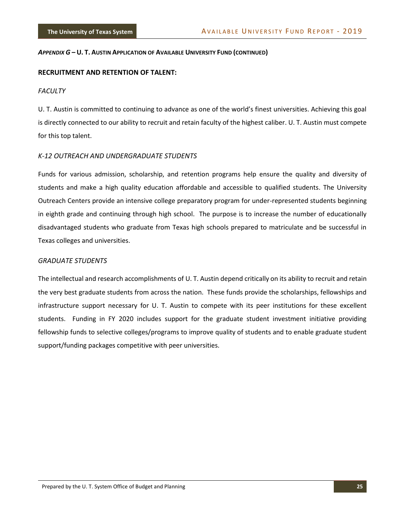#### **RECRUITMENT AND RETENTION OF TALENT:**

#### *FACULTY*

U. T. Austin is committed to continuing to advance as one of the world's finest universities. Achieving this goal is directly connected to our ability to recruit and retain faculty of the highest caliber. U. T. Austin must compete for this top talent.

#### *K-12 OUTREACH AND UNDERGRADUATE STUDENTS*

Funds for various admission, scholarship, and retention programs help ensure the quality and diversity of students and make a high quality education affordable and accessible to qualified students. The University Outreach Centers provide an intensive college preparatory program for under-represented students beginning in eighth grade and continuing through high school. The purpose is to increase the number of educationally disadvantaged students who graduate from Texas high schools prepared to matriculate and be successful in Texas colleges and universities.

#### *GRADUATE STUDENTS*

The intellectual and research accomplishments of U. T. Austin depend critically on its ability to recruit and retain the very best graduate students from across the nation. These funds provide the scholarships, fellowships and infrastructure support necessary for U. T. Austin to compete with its peer institutions for these excellent students. Funding in FY 2020 includes support for the graduate student investment initiative providing fellowship funds to selective colleges/programs to improve quality of students and to enable graduate student support/funding packages competitive with peer universities.